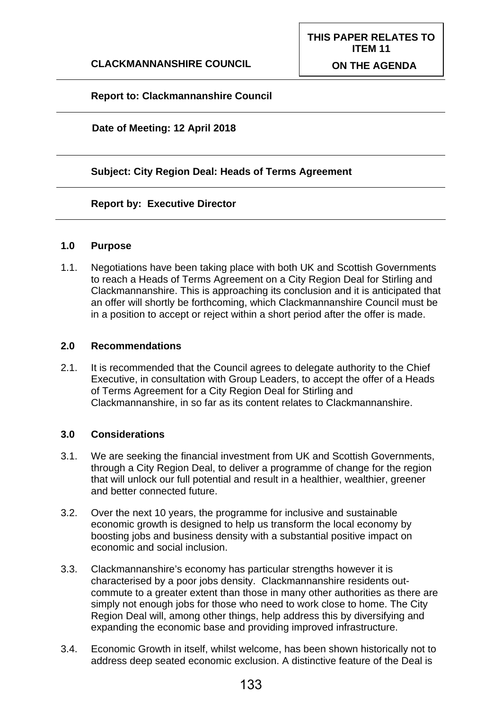## **Report to: Clackmannanshire Council**

## **Date of Meeting: 12 April 2018**

## **Subject: City Region Deal: Heads of Terms Agreement**

### **Report by: Executive Director**

#### **1.0 Purpose**

1.1. Negotiations have been taking place with both UK and Scottish Governments to reach a Heads of Terms Agreement on a City Region Deal for Stirling and Clackmannanshire. This is approaching its conclusion and it is anticipated that an offer will shortly be forthcoming, which Clackmannanshire Council must be in a position to accept or reject within a short period after the offer is made.

## **2.0 Recommendations**

2.1. It is recommended that the Council agrees to delegate authority to the Chief Executive, in consultation with Group Leaders, to accept the offer of a Heads of Terms Agreement for a City Region Deal for Stirling and Clackmannanshire, in so far as its content relates to Clackmannanshire.

## **3.0 Considerations**

- 3.1. We are seeking the financial investment from UK and Scottish Governments, through a City Region Deal, to deliver a programme of change for the region that will unlock our full potential and result in a healthier, wealthier, greener and better connected future.
- 3.2. Over the next 10 years, the programme for inclusive and sustainable economic growth is designed to help us transform the local economy by boosting jobs and business density with a substantial positive impact on economic and social inclusion.
- 3.3. Clackmannanshire's economy has particular strengths however it is characterised by a poor jobs density. Clackmannanshire residents outcommute to a greater extent than those in many other authorities as there are simply not enough jobs for those who need to work close to home. The City Region Deal will, among other things, help address this by diversifying and expanding the economic base and providing improved infrastructure.
- 3.4. Economic Growth in itself, whilst welcome, has been shown historically not to address deep seated economic exclusion. A distinctive feature of the Deal is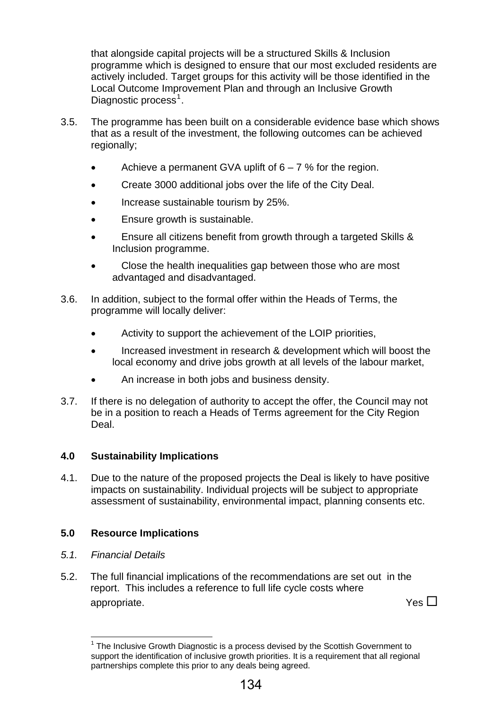that alongside capital projects will be a structured Skills & Inclusion programme which is designed to ensure that our most excluded residents are actively included. Target groups for this activity will be those identified in the Local Outcome Improvement Plan and through an Inclusive Growth Diagnostic process<sup>1</sup>.

- 3.5. The programme has been built on a considerable evidence base which shows that as a result of the investment, the following outcomes can be achieved regionally:
	- Achieve a permanent GVA uplift of  $6 7$ % for the region.
	- Create 3000 additional jobs over the life of the City Deal.
	- Increase sustainable tourism by 25%.
	- Ensure growth is sustainable.
	- Ensure all citizens benefit from growth through a targeted Skills & Inclusion programme.
	- Close the health inequalities gap between those who are most advantaged and disadvantaged.
- 3.6. In addition, subject to the formal offer within the Heads of Terms, the programme will locally deliver:
	- Activity to support the achievement of the LOIP priorities,
	- Increased investment in research & development which will boost the local economy and drive jobs growth at all levels of the labour market,
	- An increase in both jobs and business density.
- 3.7. If there is no delegation of authority to accept the offer, the Council may not be in a position to reach a Heads of Terms agreement for the City Region Deal.

## **4.0 Sustainability Implications**

4.1. Due to the nature of the proposed projects the Deal is likely to have positive impacts on sustainability. Individual projects will be subject to appropriate assessment of sustainability, environmental impact, planning consents etc.

## **5.0 Resource Implications**

- *5.1. Financial Details*
- 5.2. The full financial implications of the recommendations are set out in the report. This includes a reference to full life cycle costs where appropriate.  $Y$ es  $\square$

<sup>1</sup>  $1$  The Inclusive Growth Diagnostic is a process devised by the Scottish Government to support the identification of inclusive growth priorities. It is a requirement that all regional partnerships complete this prior to any deals being agreed.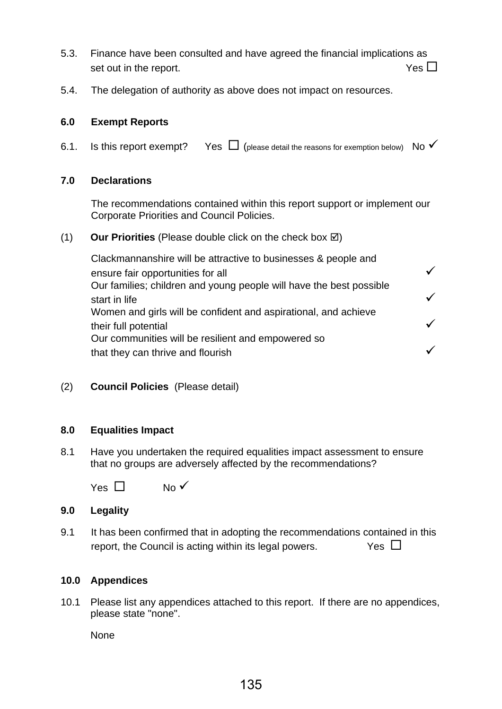- 5.3. Finance have been consulted and have agreed the financial implications as set out in the report.  $Y$ es  $\Box$
- 5.4. The delegation of authority as above does not impact on resources.

## **6.0 Exempt Reports**

6.1. Is this report exempt? Yes  $\Box$  (please detail the reasons for exemption below) No  $\checkmark$ 

## **7.0 Declarations**

The recommendations contained within this report support or implement our Corporate Priorities and Council Policies.

## (1) **Our Priorities** (Please double click on the check box  $\boxtimes$ )

Clackmannanshire will be attractive to businesses & people and ensure fair opportunities for all  $\checkmark$ Our families; children and young people will have the best possible start in life  $\checkmark$ Women and girls will be confident and aspirational, and achieve their full potential Our communities will be resilient and empowered so that they can thrive and flourish 9

(2) **Council Policies** (Please detail)

## **8.0 Equalities Impact**

8.1 Have you undertaken the required equalities impact assessment to ensure that no groups are adversely affected by the recommendations?

Yes  $\Box$  No  $\checkmark$ 

## **9.0 Legality**

9.1 It has been confirmed that in adopting the recommendations contained in this report, the Council is acting within its legal powers.  $\Box$ 

## **10.0 Appendices**

10.1 Please list any appendices attached to this report. If there are no appendices, please state "none".

**None**